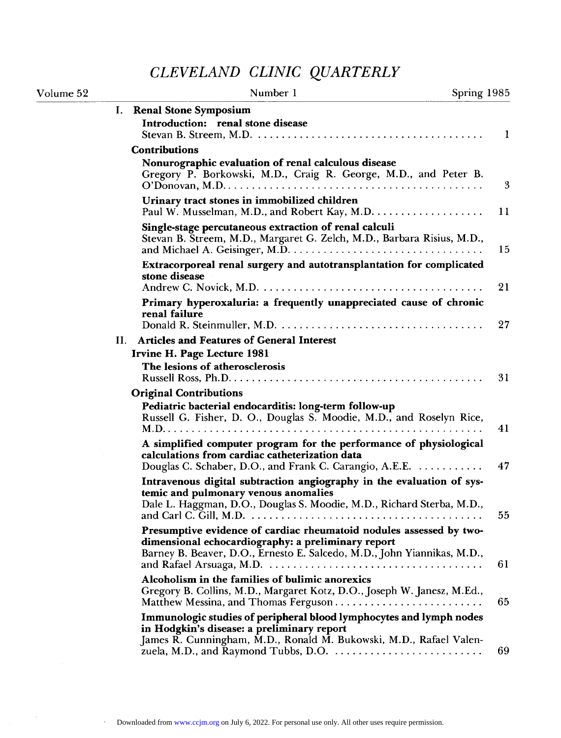## *CLEVELAND CLINIC QUARTERLY*

| Volume 52 | Number 1<br>Spring 1985                                                                                                                                                                                                                                                              |    |
|-----------|--------------------------------------------------------------------------------------------------------------------------------------------------------------------------------------------------------------------------------------------------------------------------------------|----|
|           | <b>Renal Stone Symposium</b><br>Ι.                                                                                                                                                                                                                                                   |    |
|           | Introduction: renal stone disease                                                                                                                                                                                                                                                    | -1 |
|           | <b>Contributions</b>                                                                                                                                                                                                                                                                 |    |
|           | Nonurographic evaluation of renal calculous disease<br>Gregory P. Borkowski, M.D., Craig R. George, M.D., and Peter B.<br>$O'Donovan, M.D. \ldots \ldots \ldots \ldots \ldots \ldots \ldots \ldots \ldots \ldots \ldots \ldots \ldots$                                               | 3  |
|           | Urinary tract stones in immobilized children                                                                                                                                                                                                                                         | 11 |
|           | Single-stage percutaneous extraction of renal calculi<br>Stevan B. Streem, M.D., Margaret G. Zelch, M.D., Barbara Risius, M.D.,                                                                                                                                                      | 15 |
|           | Extracorporeal renal surgery and autotransplantation for complicated<br>stone disease                                                                                                                                                                                                |    |
|           | Primary hyperoxaluria: a frequently unappreciated cause of chronic                                                                                                                                                                                                                   | 21 |
|           | renal failure                                                                                                                                                                                                                                                                        | 27 |
|           | <b>Articles and Features of General Interest</b><br>Н.                                                                                                                                                                                                                               |    |
|           | Irvine H. Page Lecture 1981<br>The lesions of atherosclerosis                                                                                                                                                                                                                        |    |
|           |                                                                                                                                                                                                                                                                                      | 31 |
|           | <b>Original Contributions</b>                                                                                                                                                                                                                                                        |    |
|           | Pediatric bacterial endocarditis: long-term follow-up<br>Russell G. Fisher, D. O., Douglas S. Moodie, M.D., and Roselyn Rice,                                                                                                                                                        | 41 |
|           | A simplified computer program for the performance of physiological<br>calculations from cardiac catheterization data<br>Douglas C. Schaber, D.O., and Frank C. Carangio, A.E.E.                                                                                                      | 47 |
|           | Intravenous digital subtraction angiography in the evaluation of sys-<br>temic and pulmonary venous anomalies                                                                                                                                                                        |    |
|           | Dale L. Haggman, D.O., Douglas S. Moodie, M.D., Richard Sterba, M.D.,<br>Presumptive evidence of cardiac rheumatoid nodules assessed by two-                                                                                                                                         | 55 |
|           | dimensional echocardiography: a preliminary report<br>Barney B. Beaver, D.O., Ernesto E. Salcedo, M.D., John Yiannikas, M.D.,                                                                                                                                                        | 61 |
|           | Alcoholism in the families of bulimic anorexics<br>Gregory B. Collins, M.D., Margaret Kotz, D.O., Joseph W. Janesz, M.Ed.,                                                                                                                                                           | 65 |
|           | Immunologic studies of peripheral blood lymphocytes and lymph nodes<br>in Hodgkin's disease: a preliminary report<br>James R. Cunningham, M.D., Ronald M. Bukowski, M.D., Rafael Valen-<br>zuela, M.D., and Raymond Tubbs, D.O. $\dots\dots\dots\dots\dots\dots\dots\dots\dots\dots$ | 69 |

 $\ddot{\phantom{a}}$